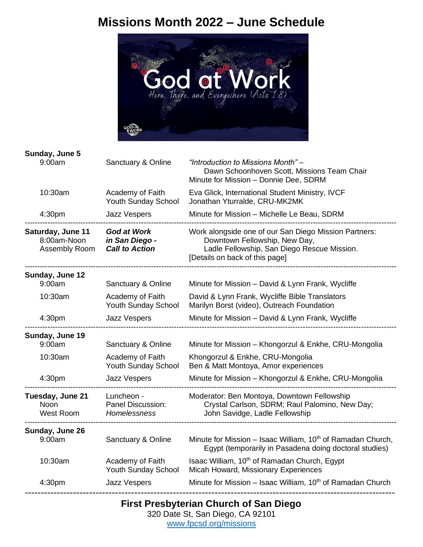## **Missions Month 2022 – June Schedule**



**Sunday, June 5**

| 9:00am                                            | Sanctuary & Online                                            | "Introduction to Missions Month" -<br>Dawn Schoonhoven Scott, Missions Team Chair<br>Minute for Mission - Donnie Dee, SDRM                                              |
|---------------------------------------------------|---------------------------------------------------------------|-------------------------------------------------------------------------------------------------------------------------------------------------------------------------|
| 10:30am                                           | Academy of Faith<br><b>Youth Sunday School</b>                | Eva Glick, International Student Ministry, IVCF<br>Jonathan Yturralde, CRU-MK2MK                                                                                        |
| 4:30pm                                            | <b>Jazz Vespers</b>                                           | Minute for Mission - Michelle Le Beau, SDRM                                                                                                                             |
| Saturday, June 11<br>8:00am-Noon<br>Assembly Room | <b>God at Work</b><br>in San Diego -<br><b>Call to Action</b> | Work alongside one of our San Diego Mission Partners:<br>Downtown Fellowship, New Day,<br>Ladle Fellowship, San Diego Rescue Mission.<br>[Details on back of this page] |
| Sunday, June 12                                   |                                                               |                                                                                                                                                                         |
| 9:00am                                            | Sanctuary & Online                                            | Minute for Mission - David & Lynn Frank, Wycliffe                                                                                                                       |
| 10:30am                                           | Academy of Faith<br>Youth Sunday School                       | David & Lynn Frank, Wycliffe Bible Translators<br>Marilyn Borst (video), Outreach Foundation                                                                            |
| 4:30pm                                            | Jazz Vespers                                                  | Minute for Mission - David & Lynn Frank, Wycliffe                                                                                                                       |
| Sunday, June 19<br>9:00am                         | Sanctuary & Online                                            | Minute for Mission - Khongorzul & Enkhe, CRU-Mongolia                                                                                                                   |
| 10:30am                                           | Academy of Faith<br><b>Youth Sunday School</b>                | Khongorzul & Enkhe, CRU-Mongolia<br>Ben & Matt Montoya, Amor experiences                                                                                                |
| 4:30pm                                            | <b>Jazz Vespers</b>                                           | Minute for Mission - Khongorzul & Enkhe, CRU-Mongolia                                                                                                                   |
| Tuesday, June 21<br>Noon<br><b>West Room</b>      | Luncheon -<br>Panel Discussion:<br><b>Homelessness</b>        | Moderator: Ben Montoya, Downtown Fellowship<br>Crystal Carlson, SDRM; Raul Palomino, New Day;<br>John Savidge, Ladle Fellowship                                         |
| Sunday, June 26<br>9:00am                         | Sanctuary & Online                                            | Minute for Mission - Isaac William, 10 <sup>th</sup> of Ramadan Church,<br>Egypt (temporarily in Pasadena doing doctoral studies)                                       |
| 10:30am                                           | Academy of Faith<br><b>Youth Sunday School</b>                | Isaac William, 10 <sup>th</sup> of Ramadan Church, Egypt<br>Micah Howard, Missionary Experiences                                                                        |
| 4:30pm                                            | Jazz Vespers                                                  | Minute for Mission - Isaac William, 10 <sup>th</sup> of Ramadan Church                                                                                                  |

**First Presbyterian Church of San Diego**

320 Date St, San Diego, CA 92101 [www.fpcsd.org/missions](https://www.fpcsd.org/missions)